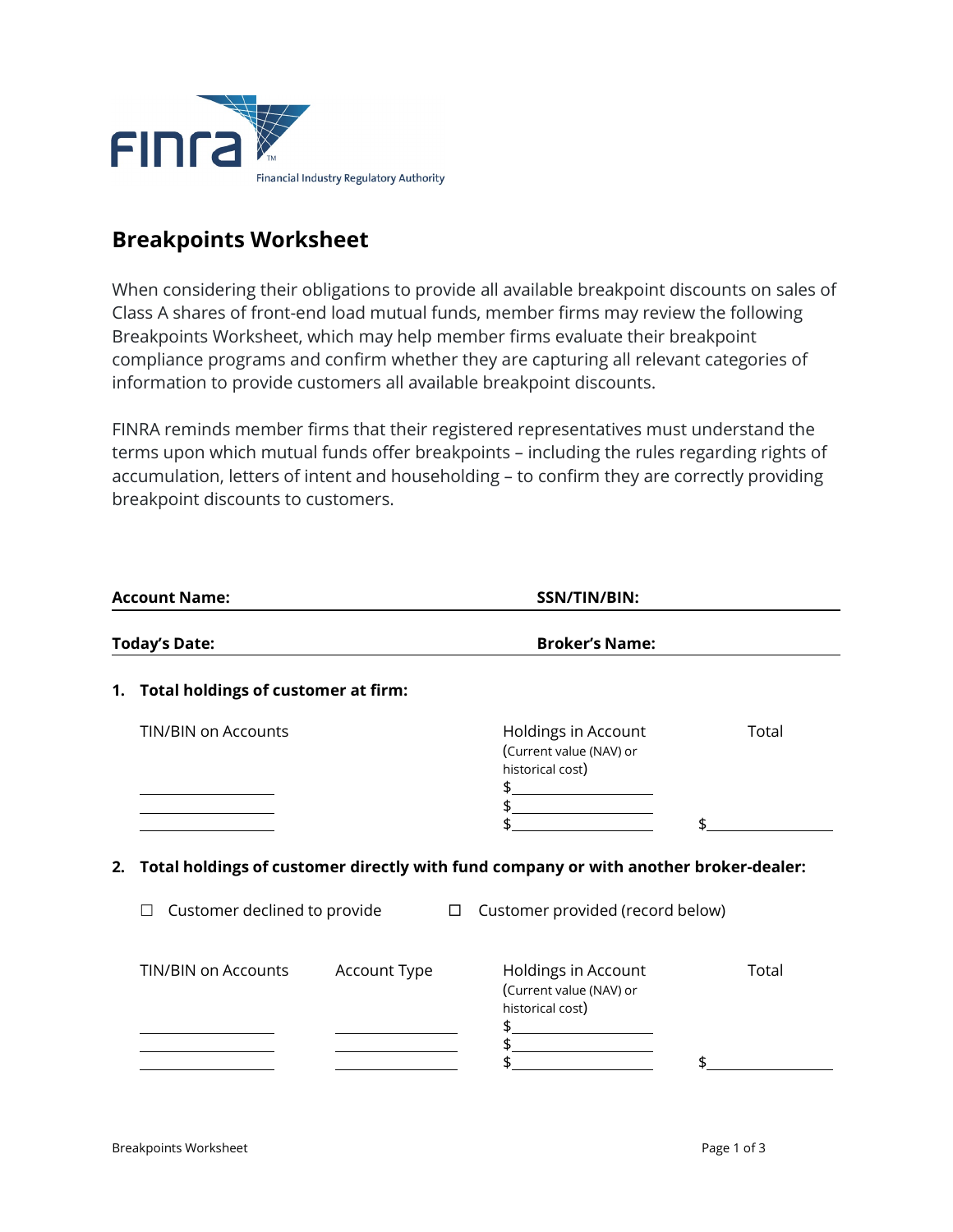

## **Breakpoints Worksheet**

When considering their obligations to provide all available breakpoint discounts on sales of Class A shares of front-end load mutual funds, member firms may review the following Breakpoints Worksheet, which may help member firms evaluate their breakpoint compliance programs and confirm whether they are capturing all relevant categories of information to provide customers all available breakpoint discounts.

FINRA reminds member firms that their registered representatives must understand the terms upon which mutual funds offer breakpoints – including the rules regarding rights of accumulation, letters of intent and householding – to confirm they are correctly providing breakpoint discounts to customers.

| <b>Account Name:</b> |                                                                                      |              |        | SSN/TIN/BIN:                                                                                                    |       |  |  |
|----------------------|--------------------------------------------------------------------------------------|--------------|--------|-----------------------------------------------------------------------------------------------------------------|-------|--|--|
|                      | <b>Today's Date:</b>                                                                 |              |        | <b>Broker's Name:</b>                                                                                           |       |  |  |
|                      | 1. Total holdings of customer at firm:                                               |              |        |                                                                                                                 |       |  |  |
|                      | <b>TIN/BIN on Accounts</b>                                                           |              |        | Holdings in Account<br>(Current value (NAV) or<br>historical cost)<br>$\frac{1}{2}$<br>$\frac{1}{2}$            | Total |  |  |
| 2.                   | Total holdings of customer directly with fund company or with another broker-dealer: |              |        |                                                                                                                 |       |  |  |
|                      | Customer declined to provide                                                         |              | $\Box$ | Customer provided (record below)                                                                                |       |  |  |
|                      | <b>TIN/BIN on Accounts</b>                                                           | Account Type |        | Holdings in Account<br>(Current value (NAV) or<br>historical cost)<br><u>and the community of the community</u> | Total |  |  |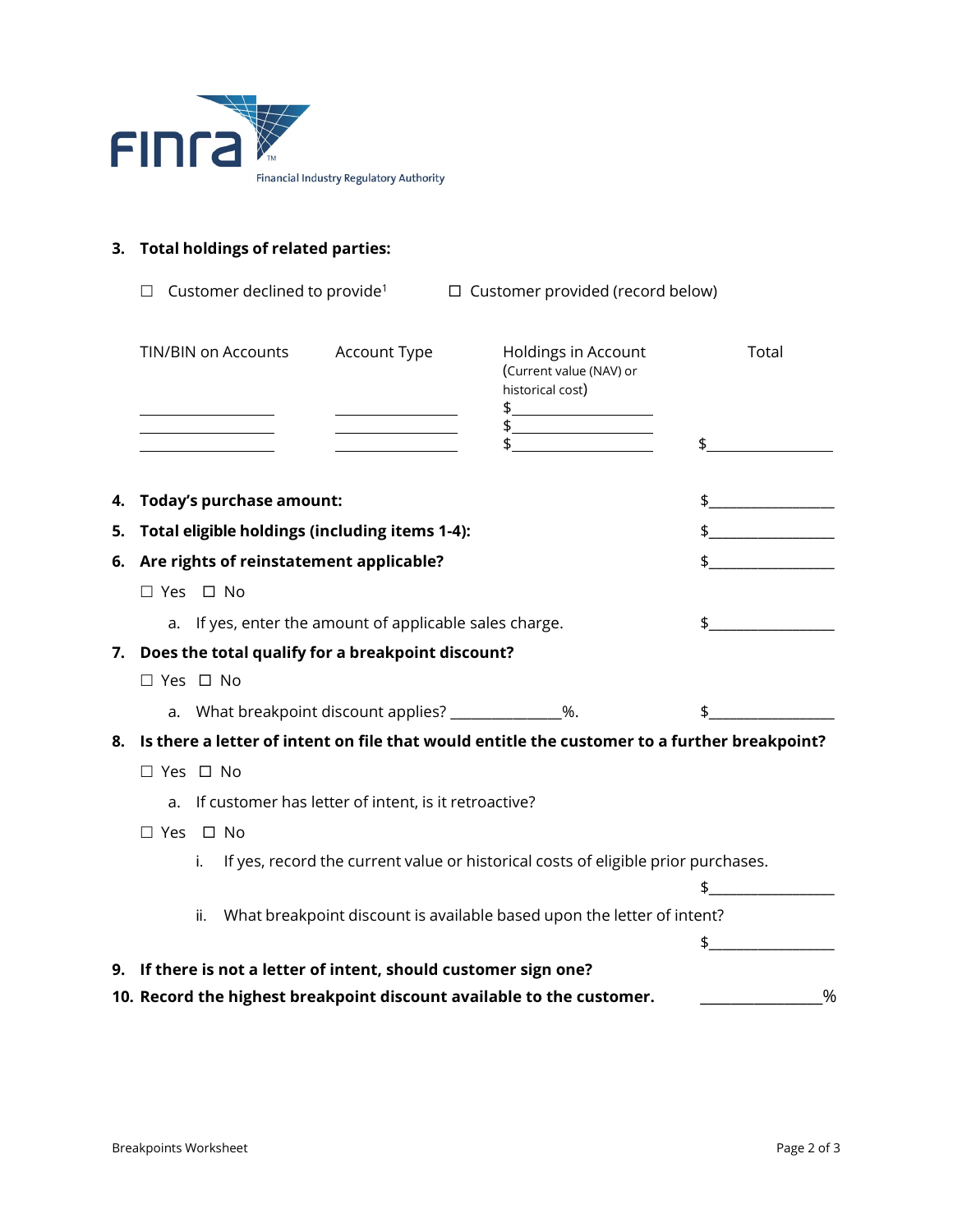

## **3. Total holdings of related parties:**

|    |                                                                                              |                                                                                                                                                                                                                                                                                                                                                                     | Customer declined to provide <sup>1</sup> $\Box$ Customer provided (record below)   |                |  |  |  |
|----|----------------------------------------------------------------------------------------------|---------------------------------------------------------------------------------------------------------------------------------------------------------------------------------------------------------------------------------------------------------------------------------------------------------------------------------------------------------------------|-------------------------------------------------------------------------------------|----------------|--|--|--|
|    | TIN/BIN on Accounts                                                                          | Account Type                                                                                                                                                                                                                                                                                                                                                        | Holdings in Account<br>(Current value (NAV) or<br>historical cost)<br>$\frac{1}{2}$ | Total          |  |  |  |
|    |                                                                                              |                                                                                                                                                                                                                                                                                                                                                                     | $\begin{array}{c c} \n\end{array}$                                                  | \$             |  |  |  |
| 4. | Today's purchase amount:                                                                     |                                                                                                                                                                                                                                                                                                                                                                     |                                                                                     | $\frac{1}{2}$  |  |  |  |
| 5. | Total eligible holdings (including items 1-4):                                               | $\begin{picture}(20,10) \put(0,0){\vector(1,0){100}} \put(15,0){\vector(1,0){100}} \put(15,0){\vector(1,0){100}} \put(15,0){\vector(1,0){100}} \put(15,0){\vector(1,0){100}} \put(15,0){\vector(1,0){100}} \put(15,0){\vector(1,0){100}} \put(15,0){\vector(1,0){100}} \put(15,0){\vector(1,0){100}} \put(15,0){\vector(1,0){100}} \put(15,0){\vector(1,0){100}} \$ |                                                                                     |                |  |  |  |
| 6. | Are rights of reinstatement applicable?                                                      |                                                                                                                                                                                                                                                                                                                                                                     | $\frac{1}{2}$                                                                       |                |  |  |  |
|    | □ Yes □ No                                                                                   |                                                                                                                                                                                                                                                                                                                                                                     |                                                                                     |                |  |  |  |
|    |                                                                                              | a. If yes, enter the amount of applicable sales charge.                                                                                                                                                                                                                                                                                                             |                                                                                     | $\frac{1}{2}$  |  |  |  |
|    | 7. Does the total qualify for a breakpoint discount?                                         |                                                                                                                                                                                                                                                                                                                                                                     |                                                                                     |                |  |  |  |
|    | $\Box$ Yes $\Box$ No                                                                         |                                                                                                                                                                                                                                                                                                                                                                     |                                                                                     |                |  |  |  |
|    |                                                                                              | a. What breakpoint discount applies? ______________%.                                                                                                                                                                                                                                                                                                               |                                                                                     | \$             |  |  |  |
| 8. | Is there a letter of intent on file that would entitle the customer to a further breakpoint? |                                                                                                                                                                                                                                                                                                                                                                     |                                                                                     |                |  |  |  |
|    | $\Box$ Yes $\Box$ No                                                                         |                                                                                                                                                                                                                                                                                                                                                                     |                                                                                     |                |  |  |  |
|    | If customer has letter of intent, is it retroactive?<br>a.                                   |                                                                                                                                                                                                                                                                                                                                                                     |                                                                                     |                |  |  |  |
|    | □ Yes □ No                                                                                   |                                                                                                                                                                                                                                                                                                                                                                     |                                                                                     |                |  |  |  |
|    | i.                                                                                           | If yes, record the current value or historical costs of eligible prior purchases.                                                                                                                                                                                                                                                                                   |                                                                                     |                |  |  |  |
|    |                                                                                              |                                                                                                                                                                                                                                                                                                                                                                     |                                                                                     | $\updownarrow$ |  |  |  |
|    | ii.                                                                                          |                                                                                                                                                                                                                                                                                                                                                                     | What breakpoint discount is available based upon the letter of intent?              |                |  |  |  |
|    |                                                                                              |                                                                                                                                                                                                                                                                                                                                                                     |                                                                                     | $\updownarrow$ |  |  |  |
|    | 9. If there is not a letter of intent, should customer sign one?                             |                                                                                                                                                                                                                                                                                                                                                                     |                                                                                     |                |  |  |  |
|    | 10. Record the highest breakpoint discount available to the customer.<br>%                   |                                                                                                                                                                                                                                                                                                                                                                     |                                                                                     |                |  |  |  |